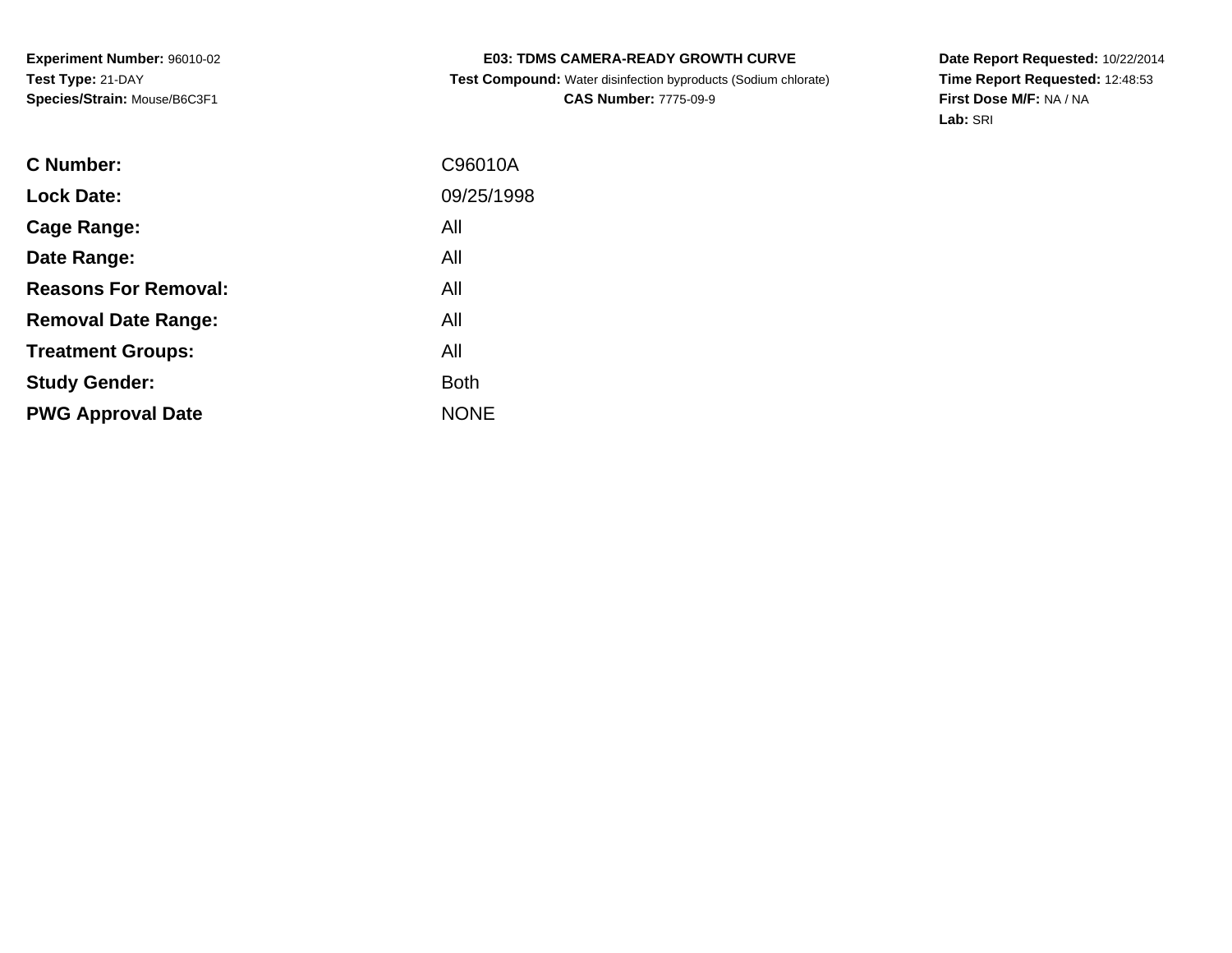# **E03: TDMS CAMERA-READY GROWTH CURVE**

 **Test Compound:** Water disinfection byproducts (Sodium chlorate)**CAS Number:** 7775-09-9

**Date Report Requested:** 10/22/2014 **Time Report Requested:** 12:48:53**First Dose M/F:** NA / NA**Lab:** SRI

| C Number:                   | C96010A     |
|-----------------------------|-------------|
| <b>Lock Date:</b>           | 09/25/1998  |
| Cage Range:                 | All         |
| Date Range:                 | All         |
| <b>Reasons For Removal:</b> | All         |
| <b>Removal Date Range:</b>  | All         |
| <b>Treatment Groups:</b>    | All         |
| <b>Study Gender:</b>        | <b>Both</b> |
| <b>PWG Approval Date</b>    | <b>NONE</b> |
|                             |             |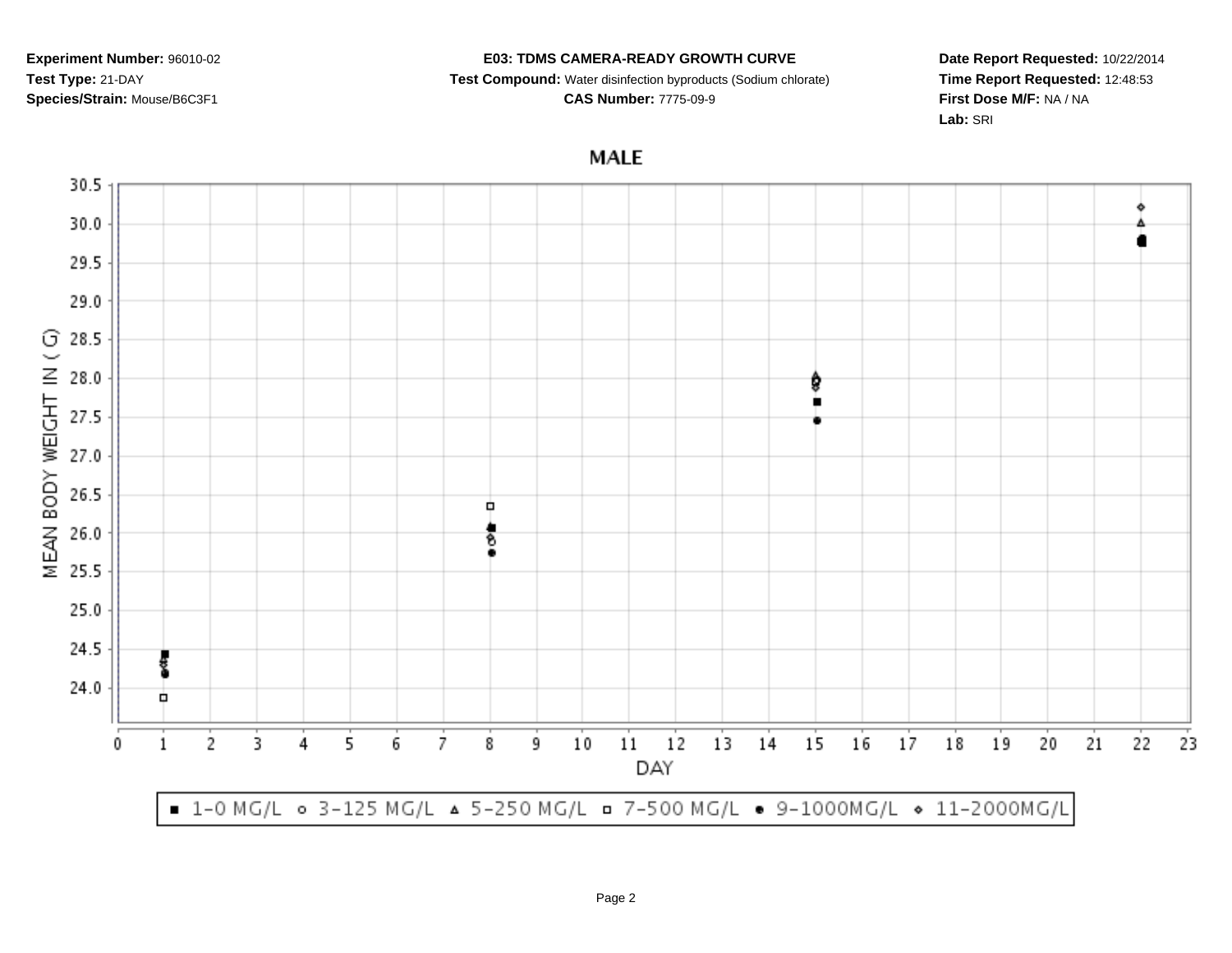#### **E03: TDMS CAMERA-READY GROWTH CURVE**

**Test Compound:** Water disinfection byproducts (Sodium chlorate)

**CAS Number:** 7775-09-9

**Date Report Requested:** 10/22/2014**Time Report Requested:** 12:48:53**First Dose M/F:** NA / NA**Lab:** SRI

**MALE** 

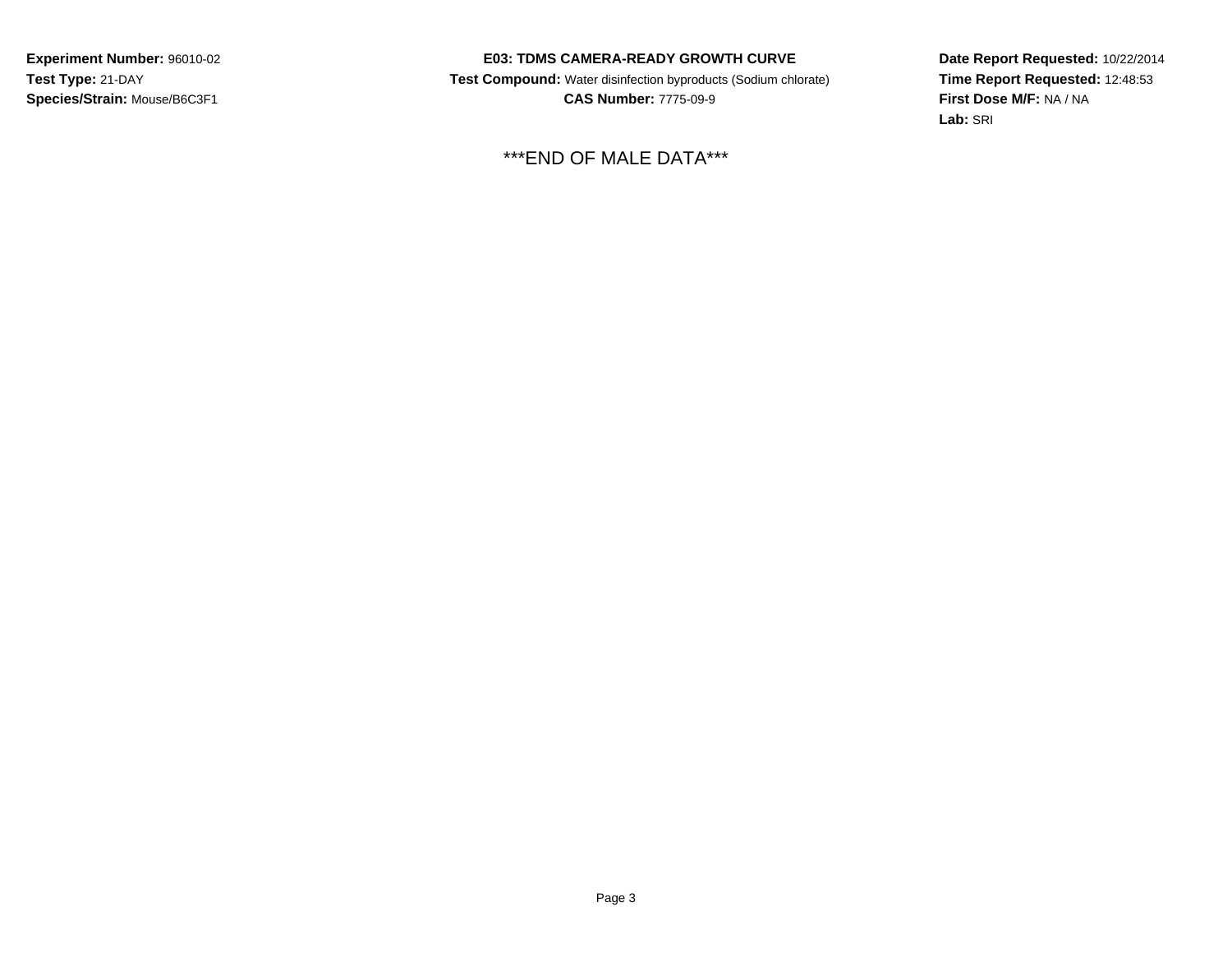### **E03: TDMS CAMERA-READY GROWTH CURVE**

 **Test Compound:** Water disinfection byproducts (Sodium chlorate) **CAS Number:** 7775-09-9

\*\*\*END OF MALE DATA\*\*\*

**Date Report Requested:** 10/22/2014 **Time Report Requested:** 12:48:53**First Dose M/F:** NA / NA**Lab:** SRI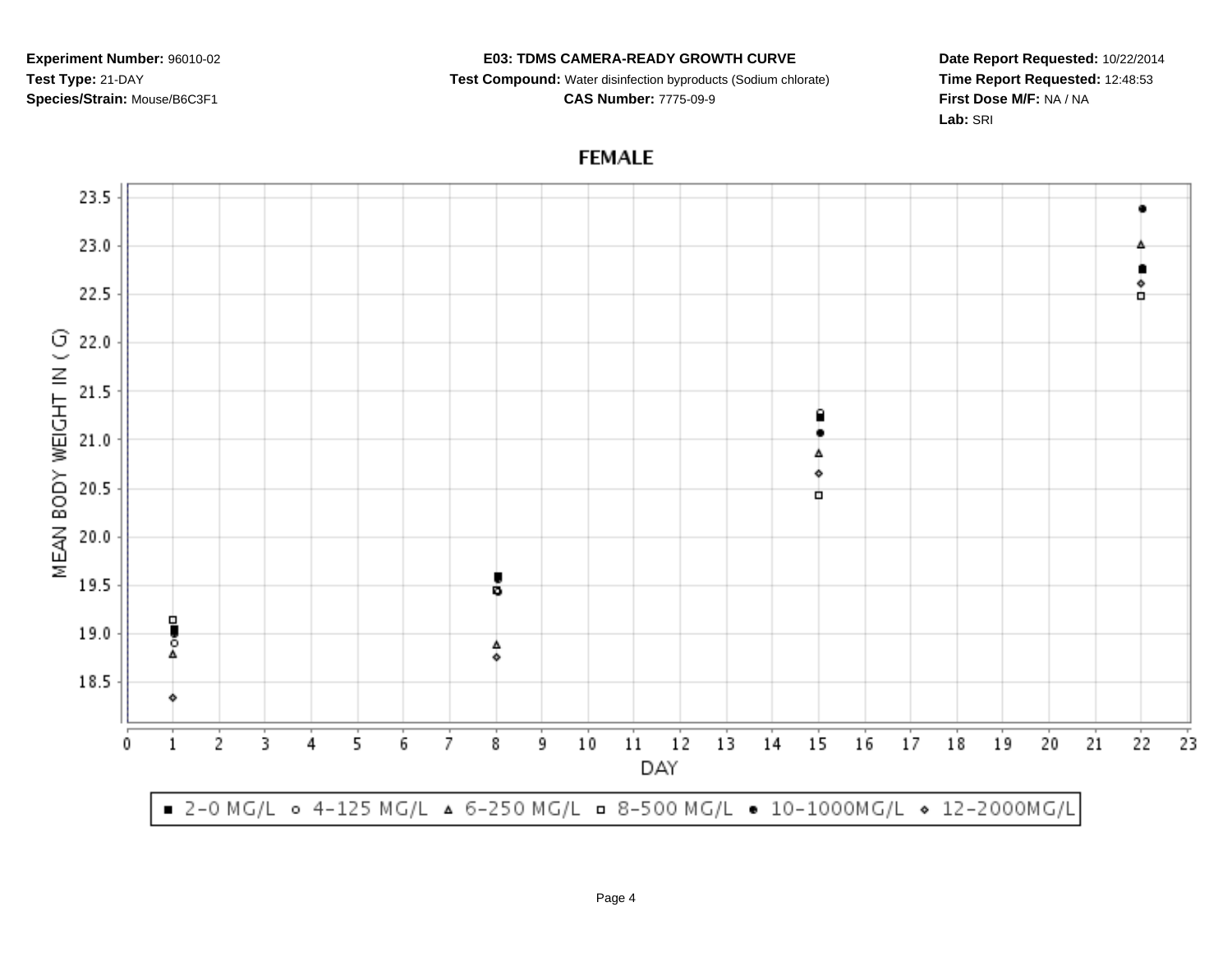#### **E03: TDMS CAMERA-READY GROWTH CURVE**

**Test Compound:** Water disinfection byproducts (Sodium chlorate)

**CAS Number:** 7775-09-9

**Date Report Requested:** 10/22/2014**Time Report Requested:** 12:48:53**First Dose M/F:** NA / NA**Lab:** SRI

# **FEMALE**